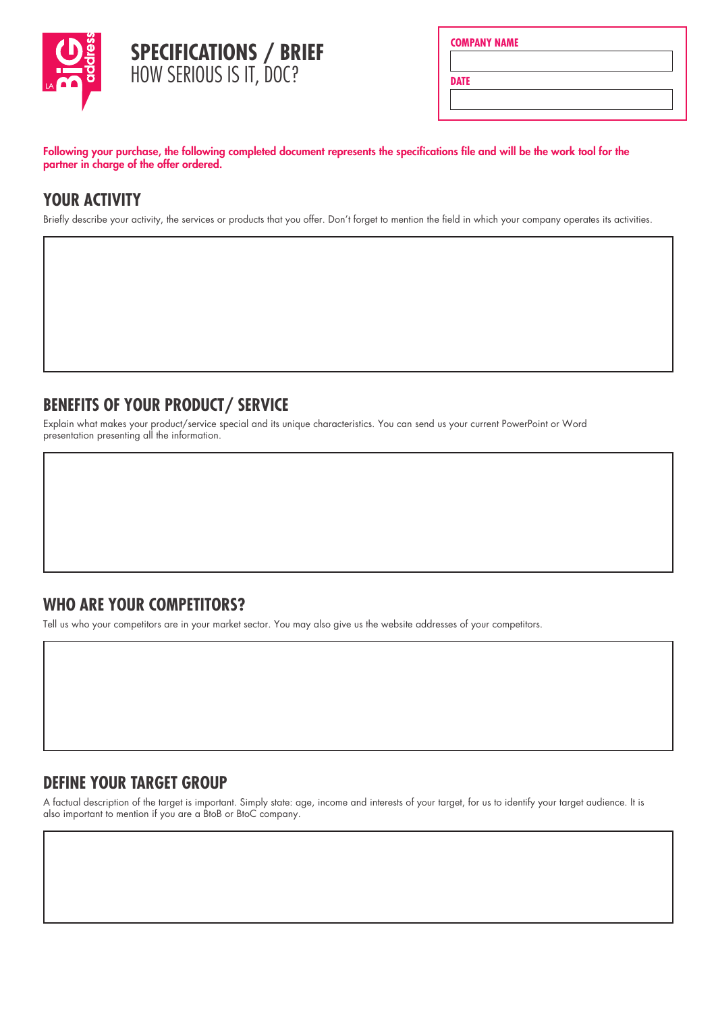

|  | <b>COMPANY NAME</b> |  |
|--|---------------------|--|
|  |                     |  |
|  |                     |  |

**DATE**

Following your purchase, the following completed document represents the specifications file and will be the work tool for the partner in charge of the offer ordered.

## **YOUR ACTIVITY**

Briefly describe your activity, the services or products that you offer. Don't forget to mention the field in which your company operates its activities.

# **BENEFITS OF YOUR PRODUCT/ SERVICE**

Explain what makes your product/service special and its unique characteristics. You can send us your current PowerPoint or Word presentation presenting all the information.

#### **WHO ARE YOUR COMPETITORS?**

Tell us who your competitors are in your market sector. You may also give us the website addresses of your competitors.

#### **DEFINE YOUR TARGET GROUP**

A factual description of the target is important. Simply state: age, income and interests of your target, for us to identify your target audience. It is also important to mention if you are a BtoB or BtoC company.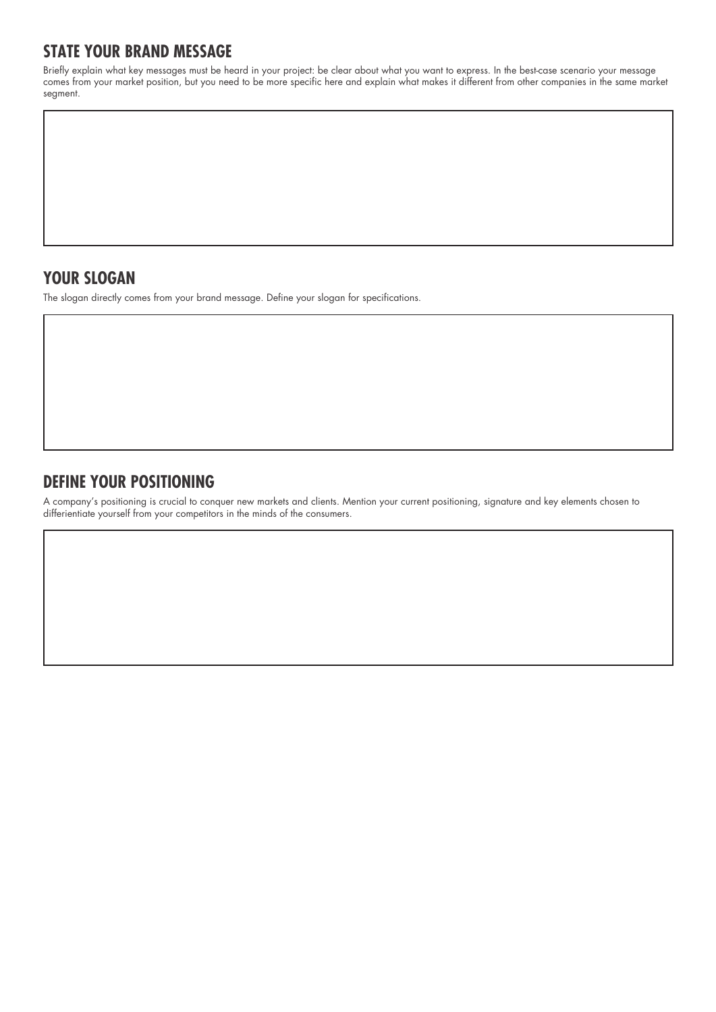## **STATE YOUR BRAND MESSAGE**

Briefly explain what key messages must be heard in your project: be clear about what you want to express. In the best-case scenario your message comes from your market position, but you need to be more specific here and explain what makes it different from other companies in the same market segment.

### **YOUR SLOGAN**

The slogan directly comes from your brand message. Define your slogan for specifications.

## **DEFINE YOUR POSITIONING**

A company's positioning is crucial to conquer new markets and clients. Mention your current positioning, signature and key elements chosen to differientiate yourself from your competitors in the minds of the consumers.